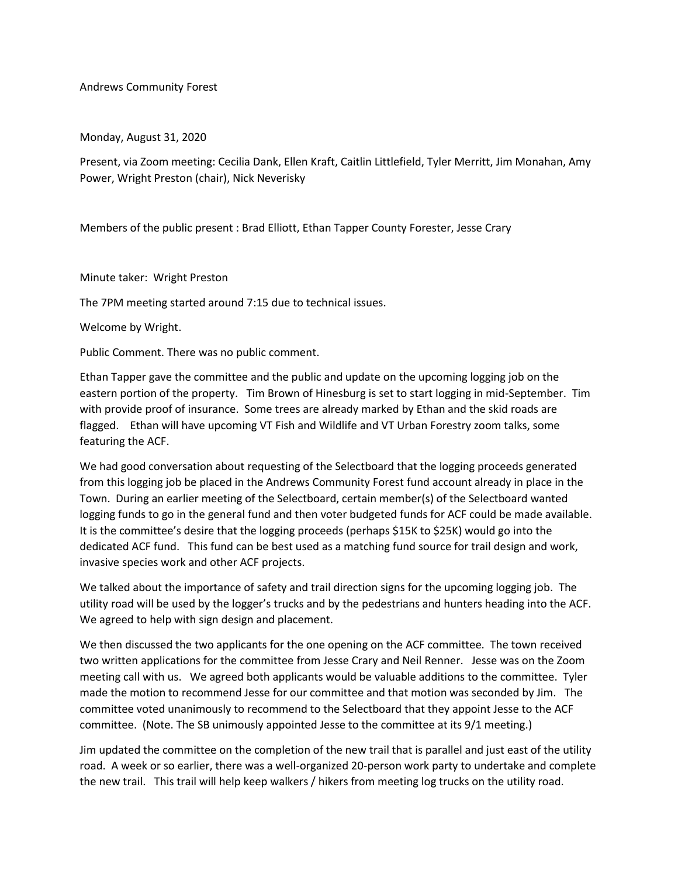Andrews Community Forest

Monday, August 31, 2020

Present, via Zoom meeting: Cecilia Dank, Ellen Kraft, Caitlin Littlefield, Tyler Merritt, Jim Monahan, Amy Power, Wright Preston (chair), Nick Neverisky

Members of the public present : Brad Elliott, Ethan Tapper County Forester, Jesse Crary

Minute taker: Wright Preston

The 7PM meeting started around 7:15 due to technical issues.

Welcome by Wright.

Public Comment. There was no public comment.

Ethan Tapper gave the committee and the public and update on the upcoming logging job on the eastern portion of the property. Tim Brown of Hinesburg is set to start logging in mid-September. Tim with provide proof of insurance. Some trees are already marked by Ethan and the skid roads are flagged. Ethan will have upcoming VT Fish and Wildlife and VT Urban Forestry zoom talks, some featuring the ACF.

We had good conversation about requesting of the Selectboard that the logging proceeds generated from this logging job be placed in the Andrews Community Forest fund account already in place in the Town. During an earlier meeting of the Selectboard, certain member(s) of the Selectboard wanted logging funds to go in the general fund and then voter budgeted funds for ACF could be made available. It is the committee's desire that the logging proceeds (perhaps \$15K to \$25K) would go into the dedicated ACF fund. This fund can be best used as a matching fund source for trail design and work, invasive species work and other ACF projects.

We talked about the importance of safety and trail direction signs for the upcoming logging job. The utility road will be used by the logger's trucks and by the pedestrians and hunters heading into the ACF. We agreed to help with sign design and placement.

We then discussed the two applicants for the one opening on the ACF committee. The town received two written applications for the committee from Jesse Crary and Neil Renner. Jesse was on the Zoom meeting call with us. We agreed both applicants would be valuable additions to the committee. Tyler made the motion to recommend Jesse for our committee and that motion was seconded by Jim. The committee voted unanimously to recommend to the Selectboard that they appoint Jesse to the ACF committee. (Note. The SB unimously appointed Jesse to the committee at its 9/1 meeting.)

Jim updated the committee on the completion of the new trail that is parallel and just east of the utility road. A week or so earlier, there was a well-organized 20-person work party to undertake and complete the new trail. This trail will help keep walkers / hikers from meeting log trucks on the utility road.